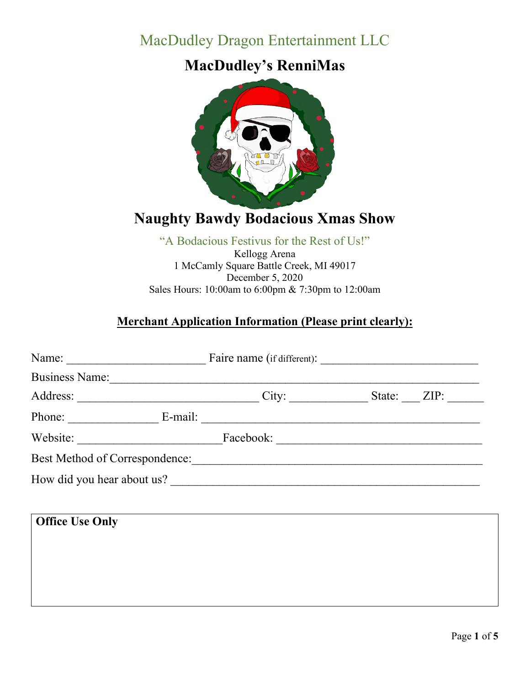# MacDudley Dragon Entertainment LLC

## **MacDudley's RenniMas**



# **Naughty Bawdy Bodacious Xmas Show**

#### "A Bodacious Festivus for the Rest of Us!" Kellogg Arena 1 McCamly Square Battle Creek, MI 49017 December 5, 2020 Sales Hours: 10:00am to 6:00pm & 7:30pm to 12:00am

## **Merchant Application Information (Please print clearly):**

| Name:                          |  |           |        |      |
|--------------------------------|--|-----------|--------|------|
| <b>Business Name:</b>          |  |           |        |      |
| Address:                       |  | City:     | State: | ZIP: |
| Phone: E-mail:                 |  |           |        |      |
| Website:                       |  | Facebook: |        |      |
| Best Method of Correspondence: |  |           |        |      |
| How did you hear about us?     |  |           |        |      |
|                                |  |           |        |      |
| <b>Office Use Only</b>         |  |           |        |      |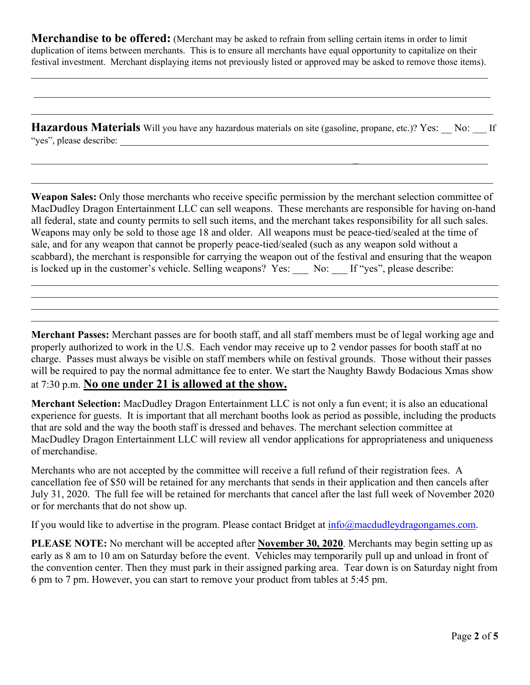**Merchandise to be offered:** (Merchant may be asked to refrain from selling certain items in order to limit duplication of items between merchants. This is to ensure all merchants have equal opportunity to capitalize on their festival investment. Merchant displaying items not previously listed or approved may be asked to remove those items).

\_\_\_\_\_\_\_\_\_\_\_\_\_\_\_\_\_\_\_\_\_\_\_\_\_\_\_\_\_\_\_\_\_\_\_\_\_\_\_\_\_\_\_\_\_\_\_\_\_\_\_\_\_\_\_\_\_\_\_\_\_\_\_\_\_\_\_\_\_\_\_\_\_\_\_\_\_\_\_\_\_\_\_\_\_\_\_\_

\_\_\_\_\_\_\_\_\_\_\_\_\_\_\_\_\_\_\_\_\_\_\_\_\_\_\_\_\_\_\_\_\_\_\_\_\_\_\_\_\_\_\_\_\_\_\_\_\_\_\_\_\_\_\_\_\_\_\_\_\_\_\_\_\_\_\_\_\_\_\_\_\_\_\_\_\_\_\_\_\_\_\_\_\_\_\_\_

**Hazardous Materials** Will you have any hazardous materials on site (gasoline, propane, etc.)? Yes: No: If "yes", please describe:

\_\_\_\_\_\_\_\_\_\_\_\_\_\_\_\_\_\_\_\_\_\_\_\_\_\_\_\_\_\_\_\_\_\_\_\_\_\_\_\_\_\_\_\_\_\_\_\_\_\_\_\_\_\_\_\_\_\_\_\_\_\_**\_**\_\_\_\_\_\_\_\_\_\_\_\_\_\_\_\_\_\_\_\_\_\_\_\_\_

**Weapon Sales:** Only those merchants who receive specific permission by the merchant selection committee of MacDudley Dragon Entertainment LLC can sell weapons. These merchants are responsible for having on-hand all federal, state and county permits to sell such items, and the merchant takes responsibility for all such sales. Weapons may only be sold to those age 18 and older. All weapons must be peace-tied/sealed at the time of sale, and for any weapon that cannot be properly peace-tied/sealed (such as any weapon sold without a scabbard), the merchant is responsible for carrying the weapon out of the festival and ensuring that the weapon is locked up in the customer's vehicle. Selling weapons? Yes: No: If "yes", please describe:

 $\mathcal{L}_\mathcal{L} = \{ \mathcal{L}_\mathcal{L} = \{ \mathcal{L}_\mathcal{L} = \{ \mathcal{L}_\mathcal{L} = \{ \mathcal{L}_\mathcal{L} = \{ \mathcal{L}_\mathcal{L} = \{ \mathcal{L}_\mathcal{L} = \{ \mathcal{L}_\mathcal{L} = \{ \mathcal{L}_\mathcal{L} = \{ \mathcal{L}_\mathcal{L} = \{ \mathcal{L}_\mathcal{L} = \{ \mathcal{L}_\mathcal{L} = \{ \mathcal{L}_\mathcal{L} = \{ \mathcal{L}_\mathcal{L} = \{ \mathcal{L}_\mathcal{$ 

 $\mathcal{L}_\mathcal{L} = \{ \mathcal{L}_\mathcal{L} = \{ \mathcal{L}_\mathcal{L} = \{ \mathcal{L}_\mathcal{L} = \{ \mathcal{L}_\mathcal{L} = \{ \mathcal{L}_\mathcal{L} = \{ \mathcal{L}_\mathcal{L} = \{ \mathcal{L}_\mathcal{L} = \{ \mathcal{L}_\mathcal{L} = \{ \mathcal{L}_\mathcal{L} = \{ \mathcal{L}_\mathcal{L} = \{ \mathcal{L}_\mathcal{L} = \{ \mathcal{L}_\mathcal{L} = \{ \mathcal{L}_\mathcal{L} = \{ \mathcal{L}_\mathcal{$ 

**Merchant Passes:** Merchant passes are for booth staff, and all staff members must be of legal working age and properly authorized to work in the U.S. Each vendor may receive up to 2 vendor passes for booth staff at no charge. Passes must always be visible on staff members while on festival grounds. Those without their passes will be required to pay the normal admittance fee to enter. We start the Naughty Bawdy Bodacious Xmas show at 7:30 p.m. **No one under 21 is allowed at the show.**

**Merchant Selection:** MacDudley Dragon Entertainment LLC is not only a fun event; it is also an educational experience for guests. It is important that all merchant booths look as period as possible, including the products that are sold and the way the booth staff is dressed and behaves. The merchant selection committee at MacDudley Dragon Entertainment LLC will review all vendor applications for appropriateness and uniqueness of merchandise.

Merchants who are not accepted by the committee will receive a full refund of their registration fees. A cancellation fee of \$50 will be retained for any merchants that sends in their application and then cancels after July 31, 2020. The full fee will be retained for merchants that cancel after the last full week of November 2020 or for merchants that do not show up.

If you would like to advertise in the program. Please contact Bridget at  $info@madleydragongames.com$ .

**PLEASE NOTE:** No merchant will be accepted after **November 30, 2020**. Merchants may begin setting up as early as 8 am to 10 am on Saturday before the event. Vehicles may temporarily pull up and unload in front of the convention center. Then they must park in their assigned parking area. Tear down is on Saturday night from 6 pm to 7 pm. However, you can start to remove your product from tables at 5:45 pm.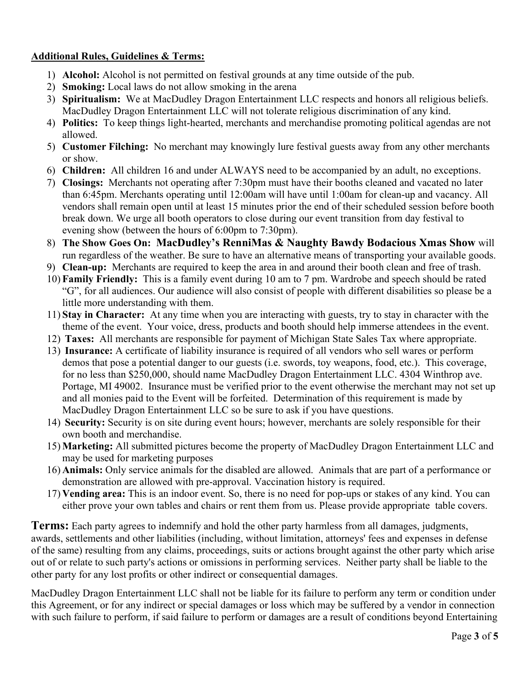### **Additional Rules, Guidelines & Terms:**

- 1) **Alcohol:** Alcohol is not permitted on festival grounds at any time outside of the pub.
- 2) **Smoking:** Local laws do not allow smoking in the arena
- 3) **Spiritualism:** We at MacDudley Dragon Entertainment LLC respects and honors all religious beliefs. MacDudley Dragon Entertainment LLC will not tolerate religious discrimination of any kind.
- 4) **Politics:** To keep things light-hearted, merchants and merchandise promoting political agendas are not allowed.
- 5) **Customer Filching:** No merchant may knowingly lure festival guests away from any other merchants or show.
- 6) **Children:** All children 16 and under ALWAYS need to be accompanied by an adult, no exceptions.
- 7) **Closings:** Merchants not operating after 7:30pm must have their booths cleaned and vacated no later than 6:45pm. Merchants operating until 12:00am will have until 1:00am for clean-up and vacancy. All vendors shall remain open until at least 15 minutes prior the end of their scheduled session before booth break down. We urge all booth operators to close during our event transition from day festival to evening show (between the hours of 6:00pm to 7:30pm).
- 8) **The Show Goes On: MacDudley's RenniMas & Naughty Bawdy Bodacious Xmas Show** will run regardless of the weather. Be sure to have an alternative means of transporting your available goods.
- 9) **Clean-up:** Merchants are required to keep the area in and around their booth clean and free of trash.
- 10) **Family Friendly:** This is a family event during 10 am to 7 pm. Wardrobe and speech should be rated "G", for all audiences. Our audience will also consist of people with different disabilities so please be a little more understanding with them.
- 11) **Stay in Character:** At any time when you are interacting with guests, try to stay in character with the theme of the event. Your voice, dress, products and booth should help immerse attendees in the event.
- 12) **Taxes:** All merchants are responsible for payment of Michigan State Sales Tax where appropriate.
- 13) **Insurance:** A certificate of liability insurance is required of all vendors who sell wares or perform demos that pose a potential danger to our guests (i.e. swords, toy weapons, food, etc.). This coverage, for no less than \$250,000, should name MacDudley Dragon Entertainment LLC. 4304 Winthrop ave. Portage, MI 49002. Insurance must be verified prior to the event otherwise the merchant may not set up and all monies paid to the Event will be forfeited. Determination of this requirement is made by MacDudley Dragon Entertainment LLC so be sure to ask if you have questions.
- 14) **Security:** Security is on site during event hours; however, merchants are solely responsible for their own booth and merchandise.
- 15) **Marketing:** All submitted pictures become the property of MacDudley Dragon Entertainment LLC and may be used for marketing purposes
- 16) **Animals:** Only service animals for the disabled are allowed. Animals that are part of a performance or demonstration are allowed with pre-approval. Vaccination history is required.
- 17) **Vending area:** This is an indoor event. So, there is no need for pop-ups or stakes of any kind. You can either prove your own tables and chairs or rent them from us. Please provide appropriate table covers.

**Terms:** Each party agrees to indemnify and hold the other party harmless from all damages, judgments, awards, settlements and other liabilities (including, without limitation, attorneys' fees and expenses in defense of the same) resulting from any claims, proceedings, suits or actions brought against the other party which arise out of or relate to such party's actions or omissions in performing services. Neither party shall be liable to the other party for any lost profits or other indirect or consequential damages.

MacDudley Dragon Entertainment LLC shall not be liable for its failure to perform any term or condition under this Agreement, or for any indirect or special damages or loss which may be suffered by a vendor in connection with such failure to perform, if said failure to perform or damages are a result of conditions beyond Entertaining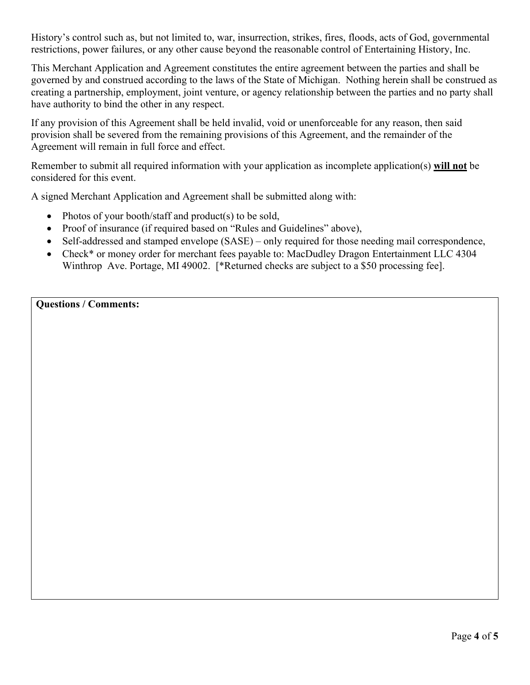History's control such as, but not limited to, war, insurrection, strikes, fires, floods, acts of God, governmental restrictions, power failures, or any other cause beyond the reasonable control of Entertaining History, Inc.

This Merchant Application and Agreement constitutes the entire agreement between the parties and shall be governed by and construed according to the laws of the State of Michigan. Nothing herein shall be construed as creating a partnership, employment, joint venture, or agency relationship between the parties and no party shall have authority to bind the other in any respect.

If any provision of this Agreement shall be held invalid, void or unenforceable for any reason, then said provision shall be severed from the remaining provisions of this Agreement, and the remainder of the Agreement will remain in full force and effect.

Remember to submit all required information with your application as incomplete application(s) **will not** be considered for this event.

A signed Merchant Application and Agreement shall be submitted along with:

- Photos of your booth/staff and product(s) to be sold,
- Proof of insurance (if required based on "Rules and Guidelines" above),
- Self-addressed and stamped envelope (SASE) only required for those needing mail correspondence,
- Check<sup>\*</sup> or money order for merchant fees payable to: MacDudley Dragon Entertainment LLC 4304 Winthrop Ave. Portage, MI 49002. [\*Returned checks are subject to a \$50 processing fee].

**Questions / Comments:**